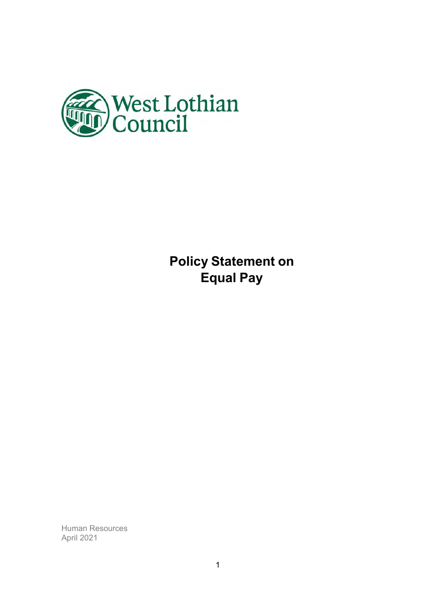

**Policy Statement on Equal Pay** 

Human Resources April 2021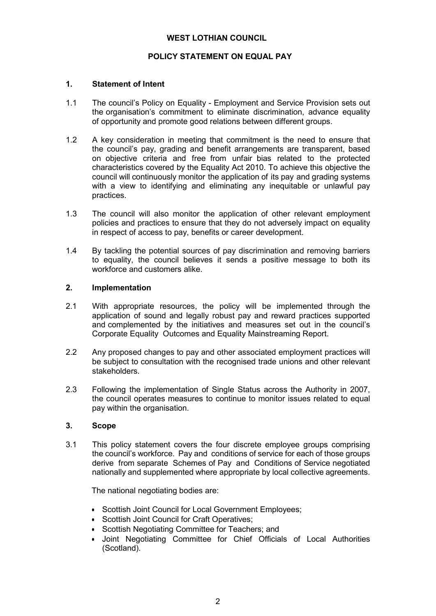#### **WEST LOTHIAN COUNCIL**

## **POLICY STATEMENT ON EQUAL PAY**

#### **1. Statement of Intent**

- 1.1 The council's Policy on Equality Employment and Service Provision sets out the organisation's commitment to eliminate discrimination, advance equality of opportunity and promote good relations between different groups.
- 1.2 A key consideration in meeting that commitment is the need to ensure that the council's pay, grading and benefit arrangements are transparent, based on objective criteria and free from unfair bias related to the protected characteristics covered by the Equality Act 2010. To achieve this objective the council will continuously monitor the application of its pay and grading systems with a view to identifying and eliminating any inequitable or unlawful pay practices.
- 1.3 The council will also monitor the application of other relevant employment policies and practices to ensure that they do not adversely impact on equality in respect of access to pay, benefits or career development.
- 1.4 By tackling the potential sources of pay discrimination and removing barriers to equality, the council believes it sends a positive message to both its workforce and customers alike.

## **2. Implementation**

- 2.1 With appropriate resources, the policy will be implemented through the application of sound and legally robust pay and reward practices supported and complemented by the initiatives and measures set out in the council's Corporate Equality Outcomes and Equality Mainstreaming Report.
- 2.2 Any proposed changes to pay and other associated employment practices will be subject to consultation with the recognised trade unions and other relevant stakeholders.
- 2.3 Following the implementation of Single Status across the Authority in 2007, the council operates measures to continue to monitor issues related to equal pay within the organisation.

#### **3. Scope**

3.1 This policy statement covers the four discrete employee groups comprising the council's workforce. Pay and conditions of service for each of those groups derive from separate Schemes of Pay and Conditions of Service negotiated nationally and supplemented where appropriate by local collective agreements.

The national negotiating bodies are:

- Scottish Joint Council for Local Government Employees;
- Scottish Joint Council for Craft Operatives:
- Scottish Negotiating Committee for Teachers; and
- Joint Negotiating Committee for Chief Officials of Local Authorities (Scotland).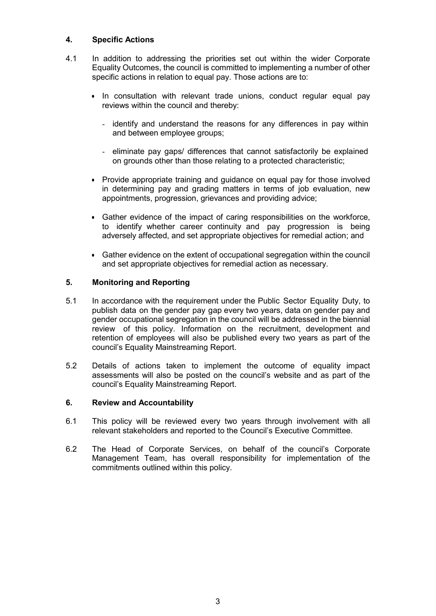## **4. Specific Actions**

- 4.1 In addition to addressing the priorities set out within the wider Corporate Equality Outcomes, the council is committed to implementing a number of other specific actions in relation to equal pay. Those actions are to:
	- In consultation with relevant trade unions, conduct regular equal pay reviews within the council and thereby:
		- identify and understand the reasons for any differences in pay within and between employee groups;
		- eliminate pay gaps/ differences that cannot satisfactorily be explained on grounds other than those relating to a protected characteristic;
	- Provide appropriate training and guidance on equal pay for those involved in determining pay and grading matters in terms of job evaluation, new appointments, progression, grievances and providing advice;
	- Gather evidence of the impact of caring responsibilities on the workforce, to identify whether career continuity and pay progression is being adversely affected, and set appropriate objectives for remedial action; and
	- Gather evidence on the extent of occupational segregation within the council and set appropriate objectives for remedial action as necessary.

## **5. Monitoring and Reporting**

- 5.1 In accordance with the requirement under the Public Sector Equality Duty, to publish data on the gender pay gap every two years, data on gender pay and gender occupational segregation in the council will be addressed in the biennial review of this policy. Information on the recruitment, development and retention of employees will also be published every two years as part of the council's Equality Mainstreaming Report.
- 5.2 Details of actions taken to implement the outcome of equality impact assessments will also be posted on the council's website and as part of the council's Equality Mainstreaming Report.

## **6. Review and Accountability**

- 6.1 This policy will be reviewed every two years through involvement with all relevant stakeholders and reported to the Council's Executive Committee.
- 6.2 The Head of Corporate Services, on behalf of the council's Corporate Management Team, has overall responsibility for implementation of the commitments outlined within this policy.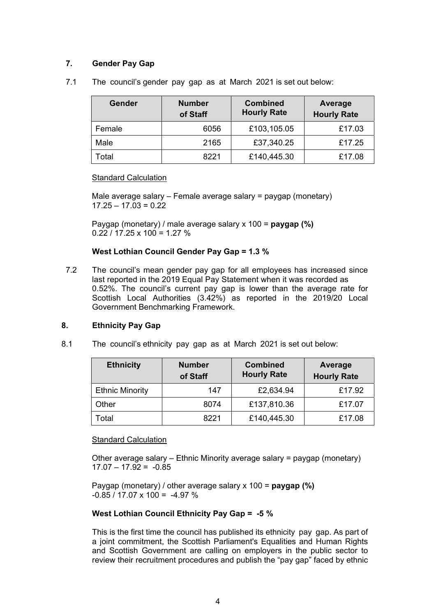# **7. Gender Pay Gap**

7.1 The council's gender pay gap as at March 2021 is set out below:

| <b>Gender</b> | <b>Number</b><br>of Staff | <b>Combined</b><br><b>Hourly Rate</b> | Average<br><b>Hourly Rate</b> |
|---------------|---------------------------|---------------------------------------|-------------------------------|
| Female        | 6056                      | £103,105.05                           | £17.03                        |
| Male          | 2165                      | £37,340.25                            | £17.25                        |
| Total         | 8221                      | £140,445.30                           | £17.08                        |

Standard Calculation

Male average salary – Female average salary = paygap (monetary)  $17.25 - 17.03 = 0.22$ 

Paygap (monetary) / male average salary x 100 = **paygap (%)**  $0.22 / 17.25 \times 100 = 1.27 \%$ 

## **West Lothian Council Gender Pay Gap = 1.3 %**

7.2 The council's mean gender pay gap for all employees has increased since last reported in the 2019 Equal Pay Statement when it was recorded as 0.52%. The council's current pay gap is lower than the average rate for Scottish Local Authorities (3.42%) as reported in the 2019/20 Local Government Benchmarking Framework.

## **8. Ethnicity Pay Gap**

8.1 The council's ethnicity pay gap as at March 2021 is set out below:

| <b>Ethnicity</b>       | <b>Number</b><br>of Staff | <b>Combined</b><br><b>Hourly Rate</b> | Average<br><b>Hourly Rate</b> |
|------------------------|---------------------------|---------------------------------------|-------------------------------|
| <b>Ethnic Minority</b> | 147                       | £2,634.94                             | £17.92                        |
| Other                  | 8074                      | £137,810.36                           | £17.07                        |
| Total                  | 8221                      | £140,445.30                           | £17.08                        |

## Standard Calculation

Other average salary – Ethnic Minority average salary = paygap (monetary)  $17.07 - 17.92 = -0.85$ 

Paygap (monetary) / other average salary x 100 = **paygap (%)**  $-0.85 / 17.07 \times 100 = -4.97 \%$ 

## **West Lothian Council Ethnicity Pay Gap = -5 %**

This is the first time the council has published its ethnicity pay gap. As part of a joint commitment, the Scottish Parliament's Equalities and Human Rights and Scottish Government are calling on employers in the public sector to review their recruitment procedures and publish the "pay gap" faced by ethnic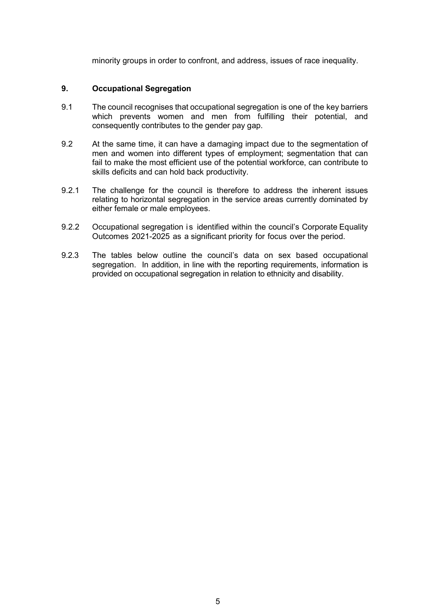minority groups in order to confront, and address, issues of race inequality.

## **9. Occupational Segregation**

- 9.1 The council recognises that occupational segregation is one of the key barriers which prevents women and men from fulfilling their potential, and consequently contributes to the gender pay gap.
- 9.2 At the same time, it can have a damaging impact due to the segmentation of men and women into different types of employment; segmentation that can fail to make the most efficient use of the potential workforce, can contribute to skills deficits and can hold back productivity.
- 9.2.1 The challenge for the council is therefore to address the inherent issues relating to horizontal segregation in the service areas currently dominated by either female or male employees.
- 9.2.2 Occupational segregation is identified within the council's Corporate Equality Outcomes 2021-2025 as a significant priority for focus over the period.
- 9.2.3 The tables below outline the council's data on sex based occupational segregation. In addition, in line with the reporting requirements, information is provided on occupational segregation in relation to ethnicity and disability.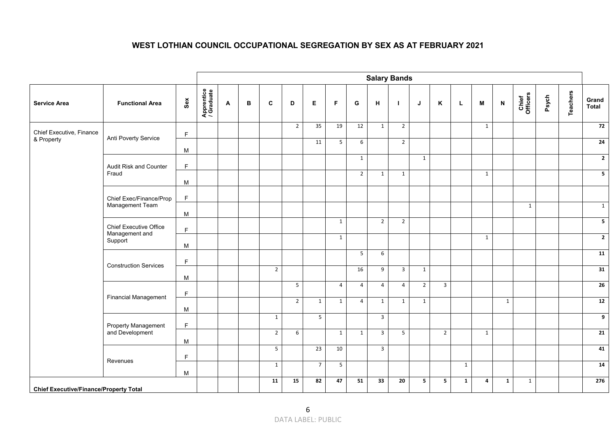#### **WEST LOTHIAN COUNCIL OCCUPATIONAL SEGREGATION BY SEX AS AT FEBRUARY 2021**

|                                               |                                          |             |                          |   |   |                |                         |                 |                |                | <b>Salary Bands</b> |                |                |                         |              |              |                           |                   |       |                 |                          |
|-----------------------------------------------|------------------------------------------|-------------|--------------------------|---|---|----------------|-------------------------|-----------------|----------------|----------------|---------------------|----------------|----------------|-------------------------|--------------|--------------|---------------------------|-------------------|-------|-----------------|--------------------------|
| <b>Service Area</b>                           | <b>Functional Area</b>                   | Sex         | Apprentice<br>/ Graduate | A | в | $\mathbf c$    | D                       | Е               | F.             | G              | н                   | $\mathbf{I}$   | J              | K                       | L            | M            | $\boldsymbol{\mathsf{N}}$ | Chief<br>Officers | Psych | <b>Teachers</b> | Grand<br><b>Total</b>    |
| Chief Executive, Finance                      | Anti Poverty Service                     | $\mathsf F$ |                          |   |   |                | $\overline{2}$          | 35              | 19             | 12             | $\mathbf{1}$        | $\overline{2}$ |                |                         |              | $\mathbf{1}$ |                           |                   |       |                 | 72                       |
| & Property                                    |                                          | M           |                          |   |   |                |                         | 11              | 5 <sub>5</sub> | 6              |                     | $\overline{2}$ |                |                         |              |              |                           |                   |       |                 | 24                       |
|                                               | Audit Risk and Counter                   | F           |                          |   |   |                |                         |                 |                | $\mathbf{1}$   |                     |                | $\mathbf{1}$   |                         |              |              |                           |                   |       |                 | $\overline{2}$           |
|                                               | Fraud                                    | M           |                          |   |   |                |                         |                 |                | $\overline{2}$ | $\mathbf{1}$        | $\mathbf{1}$   |                |                         |              | $\mathbf{1}$ |                           |                   |       |                 | $\overline{\phantom{a}}$ |
|                                               | Chief Exec/Finance/Prop                  | $\mathsf F$ |                          |   |   |                |                         |                 |                |                |                     |                |                |                         |              |              |                           |                   |       |                 |                          |
|                                               | Management Team                          | M           |                          |   |   |                |                         |                 |                |                |                     |                |                |                         |              |              |                           | $\mathbf{1}$      |       |                 | $\mathbf{1}$             |
|                                               | Chief Executive Office<br>Management and | F           |                          |   |   |                |                         |                 | $\mathbf{1}$   |                | $\overline{2}$      | $\overline{2}$ |                |                         |              |              |                           |                   |       |                 | $\overline{\mathbf{5}}$  |
|                                               | Support                                  | M           |                          |   |   |                |                         |                 | $\mathbf{1}$   |                |                     |                |                |                         |              | 1            |                           |                   |       |                 | $\overline{2}$           |
|                                               | <b>Construction Services</b>             | F           |                          |   |   |                |                         |                 |                | 5              | 6                   |                |                |                         |              |              |                           |                   |       |                 | 11                       |
|                                               |                                          | M           |                          |   |   | $\overline{2}$ |                         |                 |                | 16             | 9                   | $\overline{3}$ | 1              |                         |              |              |                           |                   |       |                 | 31                       |
|                                               | <b>Financial Management</b>              | F           |                          |   |   |                | $\overline{\mathbf{5}}$ |                 | $\overline{4}$ | $\overline{4}$ | $\overline{4}$      | $\overline{4}$ | $\overline{2}$ | $\overline{3}$          |              |              |                           |                   |       |                 | 26                       |
|                                               |                                          | M           |                          |   |   |                | $\overline{2}$          | $\mathbf{1}$    | $\mathbf{1}$   | $\overline{4}$ | $\mathbf{1}$        | $\mathbf{1}$   | $\mathbf{1}$   |                         |              |              | $\mathbf{1}$              |                   |       |                 | 12                       |
|                                               | <b>Property Management</b>               | $\mathsf F$ |                          |   |   | 1              |                         | 5 <sup>5</sup>  |                |                | $\overline{3}$      |                |                |                         |              |              |                           |                   |       |                 | $\overline{9}$           |
|                                               | and Development                          | M           |                          |   |   | $2^{\circ}$    | 6                       |                 | $\mathbf{1}$   | $\mathbf{1}$   | $\overline{3}$      | 5 <sup>5</sup> |                | $\overline{2}$          |              | $\mathbf{1}$ |                           |                   |       |                 | 21                       |
|                                               | Revenues                                 | $\mathsf F$ |                          |   |   | 5 <sup>1</sup> |                         | $\overline{23}$ | 10             |                | $\overline{3}$      |                |                |                         |              |              |                           |                   |       |                 | 41                       |
|                                               |                                          | М           |                          |   |   | $\mathbf{1}$   |                         | $\overline{7}$  | 5              |                |                     |                |                |                         | $\mathbf{1}$ |              |                           |                   |       |                 | 14                       |
| <b>Chief Executive/Finance/Property Total</b> |                                          |             |                          |   |   | 11             | 15                      | 82              | 47             | 51             | 33                  | 20             | 5              | $\overline{\mathbf{5}}$ | $\mathbf{1}$ | 4            | $\mathbf{1}$              | $\mathbf{1}$      |       |                 | 276                      |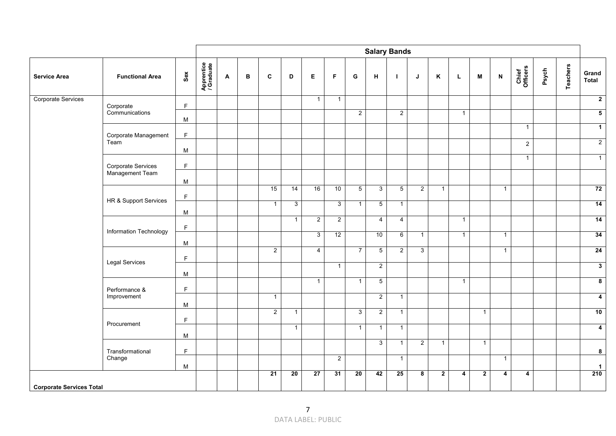|                                 |                                              |             |                          |   |   |                |                |                |                |                |                | <b>Salary Bands</b> |                     |                |              |              |                           |                   |       |                 |                         |
|---------------------------------|----------------------------------------------|-------------|--------------------------|---|---|----------------|----------------|----------------|----------------|----------------|----------------|---------------------|---------------------|----------------|--------------|--------------|---------------------------|-------------------|-------|-----------------|-------------------------|
| <b>Service Area</b>             | <b>Functional Area</b>                       | Sex         | Apprentice<br>/ Graduate | A | B | $\mathbf c$    | D              | E              | F              | G              | н              | Т.                  | J                   | Κ              | L            | M            | $\boldsymbol{\mathsf{N}}$ | Chief<br>Officers | Psych | <b>Teachers</b> | Grand<br>Total          |
| Corporate Services              | Corporate                                    | $\mathsf F$ |                          |   |   |                |                | $\mathbf{1}$   | $\mathbf{1}$   |                |                |                     |                     |                |              |              |                           |                   |       |                 | $\overline{2}$          |
|                                 | Communications                               | M           |                          |   |   |                |                |                |                | $\overline{2}$ |                | $\overline{2}$      |                     |                | $\mathbf{1}$ |              |                           |                   |       |                 | $\overline{\mathbf{5}}$ |
|                                 | Corporate Management                         | $\mathsf F$ |                          |   |   |                |                |                |                |                |                |                     |                     |                |              |              |                           | $\overline{1}$    |       |                 | $\mathbf{1}$            |
|                                 | Team                                         |             |                          |   |   |                |                |                |                |                |                |                     |                     |                |              |              |                           | $\sqrt{2}$        |       |                 | $\overline{2}$          |
|                                 |                                              | M           |                          |   |   |                |                |                |                |                |                |                     |                     |                |              |              |                           | $\mathbf{1}$      |       |                 | $\overline{1}$          |
|                                 | <b>Corporate Services</b><br>Management Team | $\mathsf F$ |                          |   |   |                |                |                |                |                |                |                     |                     |                |              |              |                           |                   |       |                 |                         |
|                                 |                                              | M           |                          |   |   |                |                |                |                |                |                |                     |                     |                |              |              |                           |                   |       |                 |                         |
|                                 | HR & Support Services                        | $\mathsf F$ |                          |   |   | 15             | 14             | 16             | 10             | $\overline{5}$ | 3 <sup>1</sup> | 5                   | $\overline{2}$      | $\mathbf{1}$   |              |              | $\overline{1}$            |                   |       |                 | 72                      |
|                                 |                                              | M           |                          |   |   | $\mathbf{1}$   | $\mathbf{3}$   |                | $\overline{3}$ | $\mathbf{1}$   | $\overline{5}$ | $\mathbf{1}$        |                     |                |              |              |                           |                   |       |                 | 14                      |
|                                 |                                              | $\mathsf F$ |                          |   |   |                | $\overline{1}$ | $\overline{2}$ | $\overline{2}$ |                | $\overline{4}$ | $\overline{4}$      |                     |                | $\mathbf{1}$ |              |                           |                   |       |                 | 14                      |
|                                 | Information Technology                       | M           |                          |   |   |                |                | 3              | 12             |                | 10             | $6\phantom{.}6$     | $\mathbf{1}$        |                | $\mathbf{1}$ |              | $\overline{1}$            |                   |       |                 | 34                      |
|                                 |                                              |             |                          |   |   | $\overline{2}$ |                | 4              |                | $\overline{7}$ | $\overline{5}$ | $\overline{2}$      | $\overline{\omega}$ |                |              |              | $\overline{1}$            |                   |       |                 | 24                      |
|                                 | <b>Legal Services</b>                        | $\mathsf F$ |                          |   |   |                |                |                | $\mathbf{1}$   |                | $\overline{2}$ |                     |                     |                |              |              |                           |                   |       |                 | $\overline{\mathbf{3}}$ |
|                                 |                                              | M           |                          |   |   |                |                |                |                |                |                |                     |                     |                |              |              |                           |                   |       |                 |                         |
|                                 | Performance &                                | $\mathsf F$ |                          |   |   |                |                | $\mathbf{1}$   |                | $\mathbf{1}$   | 5              |                     |                     |                | $\mathbf{1}$ |              |                           |                   |       |                 | $\overline{\mathbf{8}}$ |
|                                 | Improvement                                  | ${\sf M}$   |                          |   |   | $\mathbf{1}$   |                |                |                |                | $\overline{2}$ | $\mathbf{1}$        |                     |                |              |              |                           |                   |       |                 | $\overline{\mathbf{4}}$ |
|                                 |                                              | $\mathsf F$ |                          |   |   | $\overline{2}$ | $\mathbf{1}$   |                |                | $\overline{3}$ | $\overline{2}$ | $\mathbf{1}$        |                     |                |              | $\mathbf{1}$ |                           |                   |       |                 | 10                      |
|                                 | Procurement                                  |             |                          |   |   |                | $\overline{1}$ |                |                | $\mathbf{1}$   | $\mathbf{1}$   | $\mathbf{1}$        |                     |                |              |              |                           |                   |       |                 | $\overline{4}$          |
|                                 |                                              | M           |                          |   |   |                |                |                |                |                | 3              | $\mathbf{1}$        | $\overline{2}$      | $\overline{1}$ |              | $\mathbf{1}$ |                           |                   |       |                 |                         |
|                                 | Transformational<br>Change                   | F           |                          |   |   |                |                |                | $\overline{2}$ |                |                | $\mathbf{1}$        |                     |                |              |              | $\overline{1}$            |                   |       |                 | 8                       |
|                                 |                                              | M           |                          |   |   | 21             | 20             | 27             | 31             | 20             | 42             | 25                  | 8                   | $\mathbf{2}$   | 4            | $\mathbf{2}$ | $\overline{4}$            | 4                 |       |                 | $\mathbf{1}$<br>210     |
| <b>Corporate Services Total</b> |                                              |             |                          |   |   |                |                |                |                |                |                |                     |                     |                |              |              |                           |                   |       |                 |                         |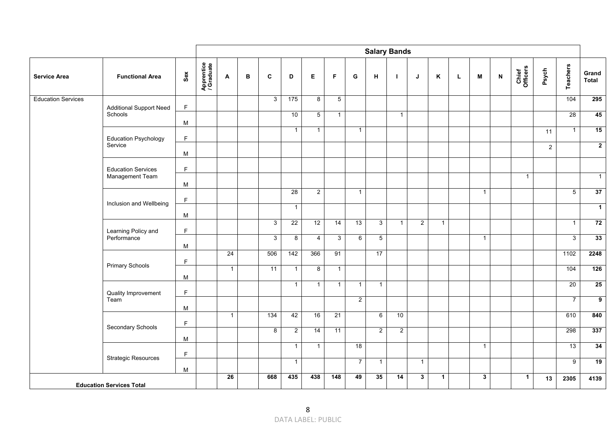|                           |                                 |             |                          |              |   |                 |                |                 |                 |                |                | <b>Salary Bands</b> |                |              |   |              |                           |                   |            |                |                         |
|---------------------------|---------------------------------|-------------|--------------------------|--------------|---|-----------------|----------------|-----------------|-----------------|----------------|----------------|---------------------|----------------|--------------|---|--------------|---------------------------|-------------------|------------|----------------|-------------------------|
| <b>Service Area</b>       | <b>Functional Area</b>          | Sex         | Apprentice<br>/ Graduate | A            | в | C               | D              | E               | F               | G              | н              | л.                  | J              | Κ            | L | M            | $\boldsymbol{\mathsf{N}}$ | Chief<br>Officers | Psych      | Teachers       | Grand<br>Total          |
| <b>Education Services</b> | <b>Additional Support Need</b>  | F           |                          |              |   | 3               | 175            | $\overline{8}$  | $\overline{5}$  |                |                |                     |                |              |   |              |                           |                   |            | 104            | 295                     |
|                           | Schools                         | M           |                          |              |   |                 | 10             | $5\phantom{.0}$ | $\mathbf{1}$    |                |                | $\mathbf{1}$        |                |              |   |              |                           |                   |            | 28             | 45                      |
|                           | <b>Education Psychology</b>     | $\mathsf F$ |                          |              |   |                 | $\mathbf{1}$   | $\mathbf{1}$    |                 | $\mathbf{1}$   |                |                     |                |              |   |              |                           |                   | 11         | $\overline{1}$ | 15                      |
|                           | Service                         | M           |                          |              |   |                 |                |                 |                 |                |                |                     |                |              |   |              |                           |                   | $\sqrt{2}$ |                | $\overline{2}$          |
|                           | <b>Education Services</b>       | $\mathsf F$ |                          |              |   |                 |                |                 |                 |                |                |                     |                |              |   |              |                           |                   |            |                |                         |
|                           | Management Team                 | M           |                          |              |   |                 |                |                 |                 |                |                |                     |                |              |   |              |                           | $\overline{1}$    |            |                | $\mathbf{1}$            |
|                           |                                 | F           |                          |              |   |                 | 28             | $\overline{2}$  |                 | $\mathbf{1}$   |                |                     |                |              |   | $\mathbf{1}$ |                           |                   |            | $\overline{5}$ | 37                      |
|                           | Inclusion and Wellbeing         | M           |                          |              |   |                 | $\mathbf{1}$   |                 |                 |                |                |                     |                |              |   |              |                           |                   |            |                | $\mathbf{1}$            |
|                           | Learning Policy and             | $\mathsf F$ |                          |              |   | $\overline{3}$  | 22             | 12              | 14              | 13             | $\overline{3}$ | $\mathbf{1}$        | $\overline{2}$ | $\mathbf{1}$ |   |              |                           |                   |            | $\mathbf{1}$   | 72                      |
|                           | Performance                     | M           |                          |              |   | 3               | 8              | 4               | $\mathbf{3}$    | 6              | 5              |                     |                |              |   | $\mathbf{1}$ |                           |                   |            | $\overline{3}$ | 33                      |
|                           |                                 | F           |                          | 24           |   | 506             | 142            | 366             | 91              |                | 17             |                     |                |              |   |              |                           |                   |            | 1102           | 2248                    |
|                           | <b>Primary Schools</b>          | M           |                          | $\mathbf{1}$ |   | $\overline{11}$ | $\mathbf{1}$   | 8               | $\mathbf{1}$    |                |                |                     |                |              |   |              |                           |                   |            | 104            | 126                     |
|                           | Quality Improvement             | $\mathsf F$ |                          |              |   |                 | $\mathbf{1}$   | $\overline{1}$  | $\mathbf{1}$    | $\mathbf{1}$   | $\mathbf{1}$   |                     |                |              |   |              |                           |                   |            | 20             | 25                      |
|                           | Team                            | M           |                          |              |   |                 |                |                 |                 | $\overline{2}$ |                |                     |                |              |   |              |                           |                   |            | $\overline{7}$ | $\overline{\mathbf{g}}$ |
|                           | Secondary Schools               | $\mathsf F$ |                          | $\mathbf{1}$ |   | 134             | 42             | 16              | $\overline{21}$ |                | 6              | 10                  |                |              |   |              |                           |                   |            | 610            | 840                     |
|                           |                                 | M           |                          |              |   | 8               | $\overline{2}$ | 14              | 11              |                | $\overline{2}$ | $\overline{2}$      |                |              |   |              |                           |                   |            | 298            | 337                     |
|                           | <b>Strategic Resources</b>      | $\mathsf F$ |                          |              |   |                 | $\mathbf{1}$   | $\mathbf{1}$    |                 | 18             |                |                     |                |              |   | $\mathbf{1}$ |                           |                   |            | 13             | 34                      |
|                           |                                 | M           |                          |              |   |                 | $\mathbf{1}$   |                 |                 | $\overline{7}$ | $\mathbf{1}$   |                     | $\mathbf{1}$   |              |   |              |                           |                   |            | $\overline{9}$ | 19                      |
|                           | <b>Education Services Total</b> |             |                          | 26           |   | 668             | 435            | 438             | 148             | 49             | 35             | 14                  | $\mathbf{3}$   | $\mathbf{1}$ |   | $\mathbf{3}$ |                           | $\mathbf{1}$      | 13         | 2305           | 4139                    |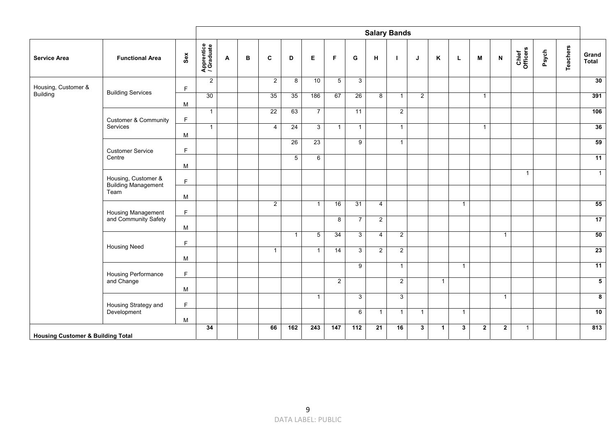|                                              |                                                   |                         |                          |   |   |                |                |                  |                         |                |                | <b>Salary Bands</b> |                |                |              |              |                           |                   |       |                 |                         |
|----------------------------------------------|---------------------------------------------------|-------------------------|--------------------------|---|---|----------------|----------------|------------------|-------------------------|----------------|----------------|---------------------|----------------|----------------|--------------|--------------|---------------------------|-------------------|-------|-----------------|-------------------------|
| <b>Service Area</b>                          | <b>Functional Area</b>                            | $\mathsf{Se}\mathsf{x}$ | Apprentice<br>/ Graduate | A | в | $\mathbf{C}$   | D              | E                | F                       | G              | H              | -1                  | J              | Κ              | L            | M            | $\boldsymbol{\mathsf{N}}$ | Chief<br>Officers | Psych | <b>Teachers</b> | Grand<br>Total          |
| Housing, Customer &                          | <b>Building Services</b>                          | $\mathsf F$             | 2                        |   |   | $\overline{2}$ | 8              | 10               | $5\phantom{.0}$         | $\mathbf{3}$   |                |                     |                |                |              |              |                           |                   |       |                 | 30                      |
| <b>Building</b>                              |                                                   | M                       | 30                       |   |   | 35             | 35             | 186              | 67                      | 26             | 8              | $\mathbf{1}$        | $\overline{2}$ |                |              | $\mathbf{1}$ |                           |                   |       |                 | 391                     |
|                                              | <b>Customer &amp; Community</b>                   | F.                      | $\overline{1}$           |   |   | 22             | 63             | $\overline{7}$   |                         | 11             |                | $\overline{2}$      |                |                |              |              |                           |                   |       |                 | 106                     |
|                                              | Services                                          | M                       | $\mathbf{1}$             |   |   | $\overline{4}$ | 24             | $\overline{3}$   | $\overline{1}$          | $\mathbf{1}$   |                | $\mathbf{1}$        |                |                |              | $\mathbf{1}$ |                           |                   |       |                 | 36                      |
|                                              | <b>Customer Service</b>                           | $\mathsf F$             |                          |   |   |                | 26             | 23               |                         | 9              |                | $\overline{1}$      |                |                |              |              |                           |                   |       |                 | 59                      |
|                                              | Centre                                            | M                       |                          |   |   |                | $\overline{5}$ | 6                |                         |                |                |                     |                |                |              |              |                           |                   |       |                 | 11                      |
|                                              | Housing, Customer &<br><b>Building Management</b> | F                       |                          |   |   |                |                |                  |                         |                |                |                     |                |                |              |              |                           | $\mathbf{1}$      |       |                 | $\mathbf{1}$            |
|                                              | Team                                              | M                       |                          |   |   |                |                |                  |                         |                |                |                     |                |                |              |              |                           |                   |       |                 |                         |
|                                              | Housing Management                                | $\mathsf F$             |                          |   |   | $\overline{2}$ |                | $\overline{1}$   | 16                      | 31             | $\overline{4}$ |                     |                |                | $\mathbf{1}$ |              |                           |                   |       |                 | 55                      |
|                                              | and Community Safety                              | M                       |                          |   |   |                |                |                  | $\overline{\mathbf{8}}$ | $\overline{7}$ | $\overline{2}$ |                     |                |                |              |              |                           |                   |       |                 | 17                      |
|                                              | <b>Housing Need</b>                               | E                       |                          |   |   |                | $\mathbf{1}$   | $\overline{5}$   | 34                      | $\mathbf{3}$   | $\overline{4}$ | $\overline{2}$      |                |                |              |              | $\overline{1}$            |                   |       |                 | 50                      |
|                                              |                                                   | M                       |                          |   |   | $\mathbf{1}$   |                | $\overline{1}$   | 14                      | $\mathbf{3}$   | $\overline{2}$ | $2^{\circ}$         |                |                |              |              |                           |                   |       |                 | 23                      |
|                                              | Housing Performance                               | $\mathsf F$             |                          |   |   |                |                |                  |                         | 9              |                | $\overline{1}$      |                |                | $\mathbf{1}$ |              |                           |                   |       |                 | 11                      |
|                                              | and Change                                        | M                       |                          |   |   |                |                |                  | $\overline{2}$          |                |                | $\overline{2}$      |                | $\overline{1}$ |              |              |                           |                   |       |                 | $\overline{5}$          |
|                                              | Housing Strategy and                              | F                       |                          |   |   |                |                | $\mathbf{1}$     |                         | $\mathbf{3}$   |                | 3                   |                |                |              |              | $\overline{1}$            |                   |       |                 | $\overline{\mathbf{8}}$ |
|                                              | Development<br>M                                  |                         |                          |   |   |                |                |                  |                         | 6              | $\mathbf{1}$   | $\mathbf{1}$        | $\mathbf{1}$   |                | $\mathbf{1}$ |              |                           |                   |       |                 | 10                      |
| <b>Housing Customer &amp; Building Total</b> |                                                   |                         | 34                       |   |   | 66             | 162            | $\overline{243}$ | 147                     | 112            | 21             | 16                  | $\mathbf{3}$   | $\mathbf{1}$   | $\mathbf{3}$ | $\mathbf{2}$ | $\overline{2}$            | $\mathbf{1}$      |       |                 | 813                     |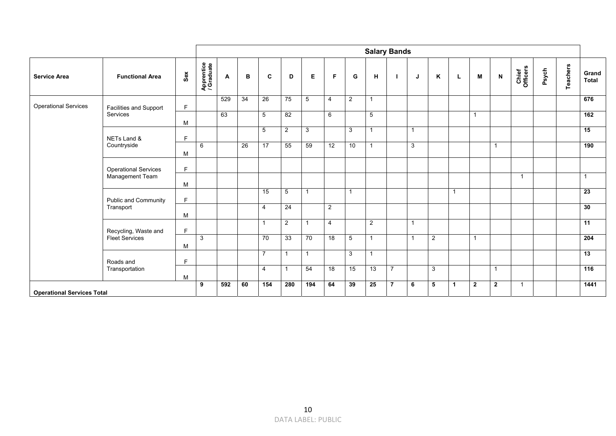|                                   |                             |              |                          |     |    |                         |                         |                |    |                |                 | <b>Salary Bands</b> |                         |              |              |              |                         |                   |       |          |                 |
|-----------------------------------|-----------------------------|--------------|--------------------------|-----|----|-------------------------|-------------------------|----------------|----|----------------|-----------------|---------------------|-------------------------|--------------|--------------|--------------|-------------------------|-------------------|-------|----------|-----------------|
| <b>Service Area</b>               | <b>Functional Area</b>      | Sex          | Apprentice<br>/ Graduate | A   | в  | C                       | D                       | E              | F  | G              | н               |                     | J                       | K            | L            | M            | N                       | Chief<br>Officers | Psych | Teachers | Grand<br>Total  |
| <b>Operational Services</b>       | Facilities and Support      | F            |                          | 529 | 34 | 26                      | 75                      | $\overline{5}$ | 4  | $\overline{2}$ | $\overline{1}$  |                     |                         |              |              |              |                         |                   |       |          | 676             |
|                                   | Services                    | M            |                          | 63  |    | $5\overline{)}$         | 82                      |                | 6  |                | $5\phantom{.0}$ |                     |                         |              |              | -1           |                         |                   |       |          | 162             |
|                                   | NETs Land &                 | $\mathsf{F}$ |                          |     |    | $5\phantom{.0}$         | $\overline{2}$          | $\mathbf{3}$   |    | 3              | $\overline{1}$  |                     | $\overline{\mathbf{1}}$ |              |              |              |                         |                   |       |          | 15              |
|                                   | Countryside                 | М            | 6                        |     | 26 | $\overline{17}$         | 55                      | 59             | 12 | 10             | $\overline{1}$  |                     | 3                       |              |              |              | $\overline{\mathbf{1}}$ |                   |       |          | 190             |
|                                   | <b>Operational Services</b> | F            |                          |     |    |                         |                         |                |    |                |                 |                     |                         |              |              |              |                         |                   |       |          |                 |
|                                   | Management Team             | M            |                          |     |    |                         |                         |                |    |                |                 |                     |                         |              |              |              |                         | $\overline{1}$    |       |          | $\overline{1}$  |
|                                   | Public and Community        | F            |                          |     |    | 15                      | 5                       | $\mathbf{1}$   |    |                |                 |                     |                         |              | $\mathbf{1}$ |              |                         |                   |       |          | 23              |
|                                   | Transport                   | M            |                          |     |    | $\overline{4}$          | 24                      |                | 2  |                |                 |                     |                         |              |              |              |                         |                   |       |          | 30              |
|                                   | Recycling, Waste and        | $\mathsf{F}$ |                          |     |    | $\overline{\mathbf{1}}$ | 2                       | $\mathbf{1}$   | 4  |                | 2               |                     | $\overline{\mathbf{1}}$ |              |              |              |                         |                   |       |          | $\overline{11}$ |
|                                   | <b>Fleet Services</b>       | M            | $\mathbf{3}$             |     |    | 70                      | 33                      | 70             | 18 | 5              | $\overline{1}$  |                     | -1                      | 2            |              | 1            |                         |                   |       |          | 204             |
|                                   | Roads and                   | F            |                          |     |    | $\overline{7}$          | $\overline{\mathbf{1}}$ | $\mathbf 1$    |    | 3              | $\overline{1}$  |                     |                         |              |              |              |                         |                   |       |          | 13              |
|                                   | Transportation              | M            |                          |     |    | $\overline{4}$          | $\overline{1}$          | 54             | 18 | 15             | 13              | $\overline{7}$      |                         | $\mathbf{3}$ |              |              | $\overline{1}$          |                   |       |          | 116             |
| <b>Operational Services Total</b> |                             |              |                          |     | 60 | 154                     | 280                     | 194            | 64 | 39             | 25              | $\overline{7}$      | 6                       | 5            | $\mathbf{1}$ | $\mathbf{2}$ | $\overline{2}$          | $\overline{1}$    |       |          | 1441            |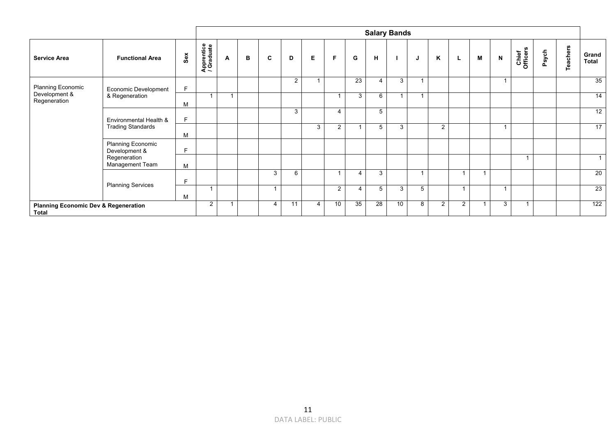|                                                                 |                                                    |          |                          |                |   |   |    |    |                 |    | <b>Salary Bands</b> |                |                  |                |                |   |   |                   |       |          |                |
|-----------------------------------------------------------------|----------------------------------------------------|----------|--------------------------|----------------|---|---|----|----|-----------------|----|---------------------|----------------|------------------|----------------|----------------|---|---|-------------------|-------|----------|----------------|
| <b>Service Area</b>                                             | <b>Functional Area</b>                             | $s_{ex}$ | Apprentice<br>/ Graduate | A              | в | C | D  | Е  | F               | G  | н                   |                | J                | K              | L.             | M | N | Chief<br>Officers | Psych | Teachers | Grand<br>Total |
| Planning Economic                                               | Economic Development                               | F        |                          |                |   |   | 2  | -1 |                 | 23 | 4                   | 3              | $\boldsymbol{A}$ |                |                |   |   |                   |       |          | 35             |
| Development &<br>Regeneration                                   | & Regeneration                                     |          |                          | $\overline{A}$ |   |   |    |    |                 | 3  | 6                   | $\overline{ }$ | $\boldsymbol{A}$ |                |                |   |   |                   |       |          | 14             |
|                                                                 | Environmental Health &<br><b>Trading Standards</b> |          |                          |                |   |   | 3  |    | $\overline{4}$  |    | 5                   |                |                  |                |                |   |   |                   |       |          | 12             |
|                                                                 |                                                    | M        |                          |                |   |   |    | 3  | $\overline{2}$  |    | 5                   | 3              |                  | $\overline{2}$ |                |   |   |                   |       |          | 17             |
|                                                                 | Planning Economic<br>Development &                 | F        |                          |                |   |   |    |    |                 |    |                     |                |                  |                |                |   |   |                   |       |          |                |
|                                                                 | Regeneration<br>Management Team                    | M        |                          |                |   |   |    |    |                 |    |                     |                |                  |                |                |   |   |                   |       |          | 1              |
|                                                                 |                                                    | F        |                          |                |   | 3 | 6  |    |                 | 4  | 3                   |                |                  |                | $\overline{1}$ | ٠ |   |                   |       |          | 20             |
|                                                                 | <b>Planning Services</b>                           | M        |                          |                |   |   |    |    | $\overline{2}$  | 4  | 5                   | 3              | 5                |                | $\overline{1}$ |   |   |                   |       |          | 23             |
| <b>Planning Economic Dev &amp; Regeneration</b><br><b>Total</b> |                                                    |          | $\overline{2}$           |                |   | 4 | 11 | 4  | 10 <sup>°</sup> | 35 | 28                  | 10             | 8                | 2              | $\overline{2}$ |   | 3 |                   |       |          | 122            |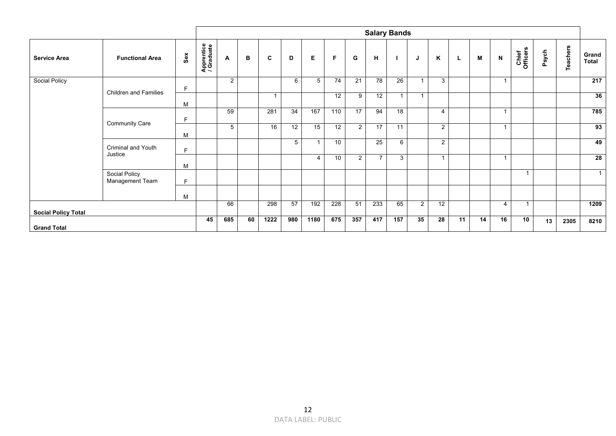|                            |                                  |          |                          |                 |    |                         |     |      |     |                |                | <b>Salary Bands</b> |                |                |    |    |                          |                         |       |                 |                |
|----------------------------|----------------------------------|----------|--------------------------|-----------------|----|-------------------------|-----|------|-----|----------------|----------------|---------------------|----------------|----------------|----|----|--------------------------|-------------------------|-------|-----------------|----------------|
| <b>Service Area</b>        | <b>Functional Area</b>           | $s_{ex}$ | Apprentice<br>/ Graduate | A               | в  | C                       | D   | E    | F   | G              | н              |                     | J              | K              | L  | M  | N                        | Chief<br>Officers       | Psych | <b>Teachers</b> | Grand<br>Total |
| <b>Social Policy</b>       | <b>Children and Families</b>     | F        |                          | $\overline{2}$  |    |                         | 6   | 5    | 74  | 21             | 78             | 26                  |                | 3              |    |    |                          |                         |       |                 | 217            |
|                            |                                  | M        |                          |                 |    | $\overline{\mathbf{A}}$ |     |      | 12  | 9              | 12             | $\mathbf{1}$        | $\overline{1}$ |                |    |    |                          |                         |       |                 | 36             |
|                            | <b>Community Care</b>            | F        |                          | 59              |    | 281                     | 34  | 167  | 110 | 17             | 94             | 18                  |                | $\overline{4}$ |    |    |                          |                         |       |                 | 785            |
|                            |                                  | М        |                          | $5\overline{)}$ |    | 16                      | 12  | 15   | 12  | $\overline{2}$ | 17             | 11                  |                | $\overline{2}$ |    |    | $\overline{\phantom{a}}$ |                         |       |                 | 93             |
|                            | Criminal and Youth<br>Justice    | E        |                          |                 |    |                         | 5   | 1    | 10  |                | 25             | 6                   |                | $\overline{2}$ |    |    |                          |                         |       |                 | 49             |
|                            |                                  | M        |                          |                 |    |                         |     | 4    | 10  | $\overline{2}$ | $\overline{7}$ | $\mathbf{3}$        |                |                |    |    | $\overline{\phantom{a}}$ |                         |       |                 | 28             |
|                            | Social Policy<br>Management Team | F        |                          |                 |    |                         |     |      |     |                |                |                     |                |                |    |    |                          | $\overline{1}$          |       |                 | 1              |
|                            |                                  | M        |                          |                 |    |                         |     |      |     |                |                |                     |                |                |    |    |                          |                         |       |                 |                |
| <b>Social Policy Total</b> |                                  |          |                          | 66              |    | 298                     | 57  | 192  | 228 | 51             | 233            | 65                  | $\overline{2}$ | 12             |    |    | 4                        | $\overline{\mathbf{1}}$ |       |                 | 1209           |
| <b>Grand Total</b>         |                                  |          | 45                       | 685             | 60 | 1222                    | 980 | 1180 | 675 | 357            | 417            | 157                 | 35             | 28             | 11 | 14 | 16                       | 10                      | 13    | 2305            | 8210           |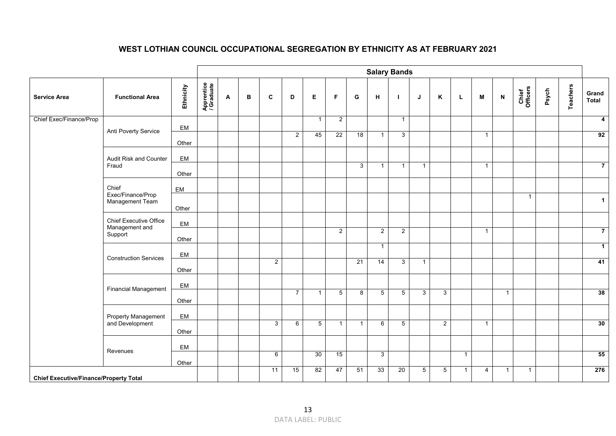## **WEST LOTHIAN COUNCIL OCCUPATIONAL SEGREGATION BY ETHNICITY AS AT FEBRUARY 2021**

|                                               |                                          |           |                          |   |   |                |                |              |                 |                | <b>Salary Bands</b> |                 |                |              |              |                |                           |                   |       |                 |                         |
|-----------------------------------------------|------------------------------------------|-----------|--------------------------|---|---|----------------|----------------|--------------|-----------------|----------------|---------------------|-----------------|----------------|--------------|--------------|----------------|---------------------------|-------------------|-------|-----------------|-------------------------|
| <b>Service Area</b>                           | <b>Functional Area</b>                   | Ethnicity | Apprentice<br>/ Graduate | A | в | C              | D              | E.           | F               | G              | н                   | - 1             | J              | K            | L            | M              | $\boldsymbol{\mathsf{N}}$ | Chief<br>Officers | Psych | <b>Teachers</b> | Grand<br><b>Total</b>   |
| Chief Exec/Finance/Prop                       |                                          | EM        |                          |   |   |                |                | $\mathbf{1}$ | $\overline{2}$  |                |                     | $\mathbf{1}$    |                |              |              |                |                           |                   |       |                 | $\overline{\mathbf{4}}$ |
|                                               | Anti Poverty Service                     | Other     |                          |   |   |                | $\overline{2}$ | 45           | 22              | 18             | $\mathbf{1}$        | 3               |                |              |              | $\overline{1}$ |                           |                   |       |                 | 92                      |
|                                               | Audit Risk and Counter                   | EM        |                          |   |   |                |                |              |                 |                |                     |                 |                |              |              |                |                           |                   |       |                 |                         |
|                                               | Fraud                                    | Other     |                          |   |   |                |                |              |                 | $\mathbf{3}$   | $\mathbf{1}$        | $\mathbf{1}$    | $\overline{1}$ |              |              | $\overline{1}$ |                           |                   |       |                 | $\overline{7}$          |
|                                               | Chief<br>Exec/Finance/Prop               | EM        |                          |   |   |                |                |              |                 |                |                     |                 |                |              |              |                |                           |                   |       |                 |                         |
|                                               | Management Team                          | Other     |                          |   |   |                |                |              |                 |                |                     |                 |                |              |              |                |                           | $\overline{1}$    |       |                 | $\mathbf 1$             |
|                                               | Chief Executive Office<br>Management and | EM        |                          |   |   |                |                |              |                 |                |                     |                 |                |              |              |                |                           |                   |       |                 |                         |
|                                               | Support                                  | Other     |                          |   |   |                |                |              | $\overline{2}$  |                | $\overline{2}$      | $\overline{2}$  |                |              |              | $\overline{1}$ |                           |                   |       |                 | $\overline{7}$          |
|                                               | <b>Construction Services</b>             | EM        |                          |   |   |                |                |              |                 |                | $\mathbf{1}$        |                 |                |              |              |                |                           |                   |       |                 | $\mathbf{1}$            |
|                                               |                                          | Other     |                          |   |   | $\overline{2}$ |                |              |                 | 21             | $\overline{14}$     | 3               | $\mathbf{1}$   |              |              |                |                           |                   |       |                 | 41                      |
|                                               | <b>Financial Management</b>              | EM        |                          |   |   |                |                |              |                 |                |                     |                 |                |              |              |                |                           |                   |       |                 |                         |
|                                               |                                          | Other     |                          |   |   |                | $\overline{7}$ | $\mathbf{1}$ | $5\overline{)}$ | $\overline{8}$ | $5\phantom{.0}$     | $5\phantom{.0}$ | $\mathbf{3}$   | $\mathbf{3}$ |              |                | $\overline{1}$            |                   |       |                 | 38                      |
|                                               | Property Management<br>and Development   | EM        |                          |   |   | 3 <sup>1</sup> | 6              | 5            | $\overline{1}$  | $\overline{1}$ | 6                   | 5               |                | 2            |              | $\overline{1}$ |                           |                   |       |                 | 30                      |
|                                               |                                          | Other     |                          |   |   |                |                |              |                 |                |                     |                 |                |              |              |                |                           |                   |       |                 |                         |
|                                               | Revenues                                 | EM        |                          |   |   | 6              |                | 30           | 15              |                | $\mathbf{3}$        |                 |                |              | $\mathbf{1}$ |                |                           |                   |       |                 | 55                      |
|                                               |                                          | Other     |                          |   |   | 11             | 15             | 82           | 47              | 51             | 33                  | 20              | $\overline{5}$ | 5            | $\mathbf{1}$ | $\overline{4}$ | $\overline{1}$            | $\mathbf{1}$      |       |                 | 276                     |
| <b>Chief Executive/Finance/Property Total</b> |                                          |           |                          |   |   |                |                |              |                 |                |                     |                 |                |              |              |                |                           |                   |       |                 |                         |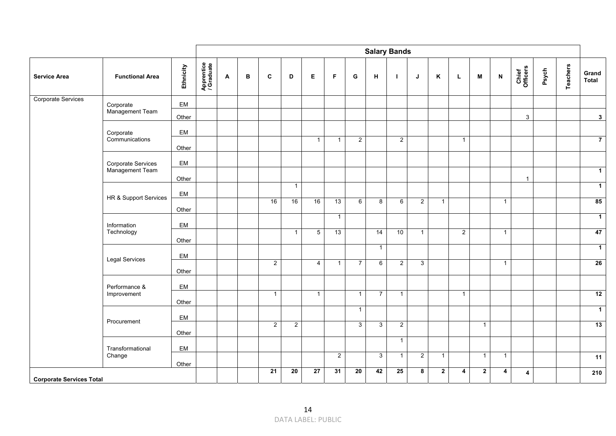|                                 |                                       |           |                          |              |   |                 |                 |                 |                |                 |                | <b>Salary Bands</b> |                |                |                |              |                           |                         |       |                 |                       |
|---------------------------------|---------------------------------------|-----------|--------------------------|--------------|---|-----------------|-----------------|-----------------|----------------|-----------------|----------------|---------------------|----------------|----------------|----------------|--------------|---------------------------|-------------------------|-------|-----------------|-----------------------|
| <b>Service Area</b>             | <b>Functional Area</b>                | Ethnicity | Apprentice<br>/ Graduate | $\mathbf{A}$ | B | C               | D               | E.              | F              | G               | н              | $\mathbf{I}$        | J              | K              | L              | M            | $\boldsymbol{\mathsf{N}}$ | Chief<br>Officers       | Psych | <b>Teachers</b> | Grand<br><b>Total</b> |
| Corporate Services              | Corporate                             | EM        |                          |              |   |                 |                 |                 |                |                 |                |                     |                |                |                |              |                           |                         |       |                 |                       |
|                                 | Management Team                       | Other     |                          |              |   |                 |                 |                 |                |                 |                |                     |                |                |                |              |                           | $\mathbf{3}$            |       |                 | 3 <sup>1</sup>        |
|                                 | Corporate                             | EM        |                          |              |   |                 |                 |                 |                |                 |                |                     |                |                |                |              |                           |                         |       |                 |                       |
|                                 | Communications                        | Other     |                          |              |   |                 |                 | $\mathbf{1}$    | $\mathbf{1}$   | $\overline{2}$  |                | $\overline{2}$      |                |                | $\mathbf{1}$   |              |                           |                         |       |                 | $\overline{7}$        |
|                                 |                                       |           |                          |              |   |                 |                 |                 |                |                 |                |                     |                |                |                |              |                           |                         |       |                 |                       |
|                                 | Corporate Services<br>Management Team | EM        |                          |              |   |                 |                 |                 |                |                 |                |                     |                |                |                |              |                           |                         |       |                 | $\overline{1}$        |
|                                 |                                       | Other     |                          |              |   |                 | $\overline{1}$  |                 |                |                 |                |                     |                |                |                |              |                           | $\mathbf{1}$            |       |                 | $\overline{1}$        |
|                                 | HR & Support Services                 | EM        |                          |              |   | 16              | 16              | 16              | 13             | 6               | 8              | $6\overline{6}$     | $\overline{2}$ | $\overline{1}$ |                |              | $\overline{1}$            |                         |       |                 | 85                    |
|                                 |                                       | Other     |                          |              |   |                 |                 |                 |                |                 |                |                     |                |                |                |              |                           |                         |       |                 |                       |
|                                 | Information                           | EM        |                          |              |   |                 |                 |                 | $\mathbf{1}$   |                 |                |                     |                |                |                |              |                           |                         |       |                 | $\overline{1}$        |
|                                 | Technology                            | Other     |                          |              |   |                 | $\overline{1}$  | $5\phantom{.0}$ | 13             |                 | 14             | 10                  | $\mathbf{1}$   |                | $\overline{2}$ |              | $\overline{1}$            |                         |       |                 | 47                    |
|                                 |                                       | EM        |                          |              |   |                 |                 |                 |                |                 | $\overline{1}$ |                     |                |                |                |              |                           |                         |       |                 | $\overline{1}$        |
|                                 | Legal Services                        |           |                          |              |   | $\overline{2}$  |                 | $\overline{4}$  | $\mathbf{1}$   | $\overline{7}$  | 6              | $\overline{2}$      | $\mathbf{3}$   |                |                |              | $\overline{1}$            |                         |       |                 | 26                    |
|                                 |                                       | Other     |                          |              |   |                 |                 |                 |                |                 |                |                     |                |                |                |              |                           |                         |       |                 |                       |
|                                 | Performance &<br>Improvement          | EM        |                          |              |   | $\mathbf{1}$    |                 | $\mathbf{1}$    |                | $\mathbf{1}$    | $\overline{7}$ | $\mathbf{1}$        |                |                | $\mathbf{1}$   |              |                           |                         |       |                 | 12                    |
|                                 |                                       | Other     |                          |              |   |                 |                 |                 |                | $\mathbf{1}$    |                |                     |                |                |                |              |                           |                         |       |                 | $\overline{1}$        |
|                                 | Procurement                           | EM        |                          |              |   |                 |                 |                 |                |                 |                |                     |                |                |                |              |                           |                         |       |                 | 13                    |
|                                 |                                       | Other     |                          |              |   | $\overline{2}$  | 2               |                 |                | $\mathbf{3}$    | $\mathbf{3}$   | $\overline{2}$      |                |                |                | $\mathbf{1}$ |                           |                         |       |                 |                       |
|                                 | Transformational                      | EM        |                          |              |   |                 |                 |                 |                |                 |                | $\mathbf{1}$        |                |                |                |              |                           |                         |       |                 |                       |
|                                 | Change                                | Other     |                          |              |   |                 |                 |                 | $\overline{2}$ |                 | 3              | $\mathbf{1}$        | $\overline{2}$ | $\overline{1}$ |                | $\mathbf{1}$ | $\overline{1}$            |                         |       |                 | 11                    |
| <b>Corporate Services Total</b> |                                       |           |                          |              |   | $\overline{21}$ | $\overline{20}$ | $\overline{27}$ | 31             | $\overline{20}$ | 42             | 25                  | 8              | $\overline{2}$ | 4              | $\mathbf{2}$ | 4                         | $\overline{\mathbf{4}}$ |       |                 | 210                   |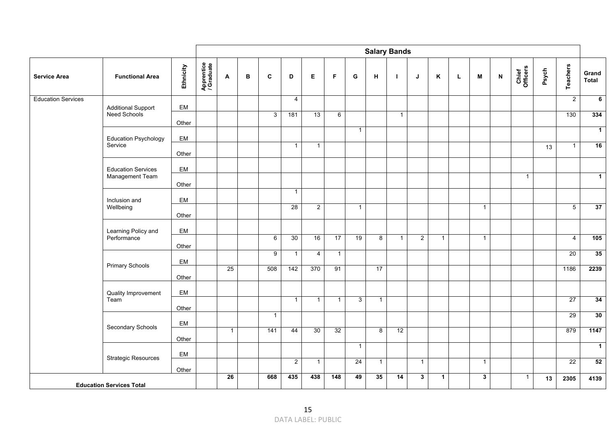|                           |                                              |           |                          |              |   |              |                |                |                |              |              | <b>Salary Bands</b> |                |              |   |              |                           |                   |       |                 |                |
|---------------------------|----------------------------------------------|-----------|--------------------------|--------------|---|--------------|----------------|----------------|----------------|--------------|--------------|---------------------|----------------|--------------|---|--------------|---------------------------|-------------------|-------|-----------------|----------------|
| <b>Service Area</b>       | <b>Functional Area</b>                       | Ethnicity | Apprentice<br>/ Graduate | A            | в | C            | D              | E              | F              | G            | н            | $\mathbf{I}$        | J              | Κ            | L | М            | $\boldsymbol{\mathsf{N}}$ | Chief<br>Officers | Psych | <b>Teachers</b> | Grand<br>Total |
| <b>Education Services</b> | <b>Additional Support</b>                    | EM        |                          |              |   |              | $\overline{4}$ |                |                |              |              |                     |                |              |   |              |                           |                   |       | $\overline{2}$  | $\overline{6}$ |
|                           | Need Schools                                 | Other     |                          |              |   | 3            | 181            | 13             | 6              |              |              | $\mathbf{1}$        |                |              |   |              |                           |                   |       | 130             | 334            |
|                           |                                              |           |                          |              |   |              |                |                |                | $\mathbf{1}$ |              |                     |                |              |   |              |                           |                   |       |                 | $\mathbf{1}$   |
|                           | <b>Education Psychology</b><br>Service       | EM        |                          |              |   |              | $\mathbf{1}$   | $\overline{1}$ |                |              |              |                     |                |              |   |              |                           |                   | 13    | $\overline{1}$  | 16             |
|                           |                                              | Other     |                          |              |   |              |                |                |                |              |              |                     |                |              |   |              |                           |                   |       |                 |                |
|                           | <b>Education Services</b><br>Management Team | EM        |                          |              |   |              |                |                |                |              |              |                     |                |              |   |              |                           | $\mathbf{1}$      |       |                 | $\overline{1}$ |
|                           |                                              | Other     |                          |              |   |              | $\mathbf{1}$   |                |                |              |              |                     |                |              |   |              |                           |                   |       |                 |                |
|                           | Inclusion and<br>Wellbeing                   | EM        |                          |              |   |              | 28             | $\overline{2}$ |                | $\mathbf{1}$ |              |                     |                |              |   | $\mathbf{1}$ |                           |                   |       | $\overline{5}$  | 37             |
|                           |                                              | Other     |                          |              |   |              |                |                |                |              |              |                     |                |              |   |              |                           |                   |       |                 |                |
|                           | Learning Policy and<br>Performance           | EM        |                          |              |   | 6            | 30             | 16             | 17             | 19           | 8            | $\mathbf{1}$        | $\overline{2}$ | $\mathbf{1}$ |   | $\mathbf{1}$ |                           |                   |       | $\overline{4}$  | 105            |
|                           |                                              | Other     |                          |              |   | 9            | $\mathbf{1}$   | $\overline{4}$ | $\overline{1}$ |              |              |                     |                |              |   |              |                           |                   |       | 20              | 35             |
|                           | <b>Primary Schools</b>                       | EM        |                          | 25           |   | 508          | 142            | 370            | 91             |              | 17           |                     |                |              |   |              |                           |                   |       | 1186            | 2239           |
|                           |                                              | Other     |                          |              |   |              |                |                |                |              |              |                     |                |              |   |              |                           |                   |       |                 |                |
|                           | Quality Improvement                          | EM        |                          |              |   |              |                |                |                |              |              |                     |                |              |   |              |                           |                   |       |                 |                |
|                           | Team                                         | Other     |                          |              |   |              | $\mathbf{1}$   | $\overline{1}$ | $\mathbf{1}$   | $\mathbf{3}$ | $\mathbf{1}$ |                     |                |              |   |              |                           |                   |       | 27              | 34             |
|                           | Secondary Schools                            | EM        |                          |              |   | $\mathbf{1}$ |                |                |                |              |              |                     |                |              |   |              |                           |                   |       | 29              | 30             |
|                           |                                              | Other     |                          | $\mathbf{1}$ |   | 141          | 44             | 30             | 32             |              | 8            | 12                  |                |              |   |              |                           |                   |       | 879             | 1147           |
|                           |                                              | EM        |                          |              |   |              |                |                |                | $\mathbf{1}$ |              |                     |                |              |   |              |                           |                   |       |                 | $\mathbf{1}$   |
|                           | <b>Strategic Resources</b>                   | Other     |                          |              |   |              | $\overline{2}$ | $\overline{1}$ |                | 24           | $\mathbf{1}$ |                     | $\overline{1}$ |              |   | $\mathbf{1}$ |                           |                   |       | 22              | 52             |
|                           | <b>Education Services Total</b>              |           |                          | 26           |   | 668          | 435            | 438            | 148            | 49           | 35           | $\overline{14}$     | $\mathbf{3}$   | $\mathbf{1}$ |   | $\mathbf{3}$ |                           | $\overline{1}$    | 13    | 2305            | 4139           |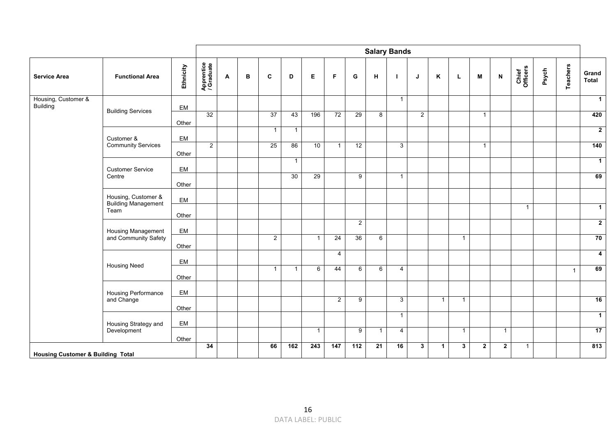|                                   |                                                           |           |                          |   |   |                 |                |                |                      |                | <b>Salary Bands</b> |                |             |                |              |              |                |                   |       |                 |                               |
|-----------------------------------|-----------------------------------------------------------|-----------|--------------------------|---|---|-----------------|----------------|----------------|----------------------|----------------|---------------------|----------------|-------------|----------------|--------------|--------------|----------------|-------------------|-------|-----------------|-------------------------------|
| <b>Service Area</b>               | <b>Functional Area</b>                                    | Ethnicity | Apprentice<br>/ Graduate | A | в | $\mathbf c$     | D              | Е              | F                    | G              | н                   |                | J           | Κ              | L.           | M            | N              | Chief<br>Officers | Psych | <b>Teachers</b> | Grand<br>Total                |
| Housing, Customer &<br>Building   | <b>Building Services</b>                                  | EM        |                          |   |   |                 |                |                |                      |                |                     | $\mathbf{1}$   |             |                |              |              |                |                   |       |                 | $\mathbf{1}$                  |
|                                   |                                                           | Other     | 32                       |   |   | $\overline{37}$ | 43             | 196            | 72                   | 29             | 8                   |                | $2^{\circ}$ |                |              | $\mathbf{1}$ |                |                   |       |                 | 420                           |
|                                   | Customer &                                                | EM        |                          |   |   | $\mathbf{1}$    | $\overline{1}$ |                |                      |                |                     |                |             |                |              |              |                |                   |       |                 | $\overline{2}$                |
|                                   | <b>Community Services</b>                                 | Other     | 2                        |   |   | 25              | 86             | 10             | $\mathbf{1}$         | 12             |                     | 3              |             |                |              | $\mathbf{1}$ |                |                   |       |                 | 140                           |
|                                   | <b>Customer Service</b>                                   | EM        |                          |   |   |                 | $\mathbf{1}$   |                |                      |                |                     |                |             |                |              |              |                |                   |       |                 | $\overline{1}$                |
|                                   | Centre                                                    | Other     |                          |   |   |                 | 30             | 29             |                      | 9              |                     | $\mathbf{1}$   |             |                |              |              |                |                   |       |                 | 69                            |
|                                   | Housing, Customer &<br><b>Building Management</b><br>Team | EM        |                          |   |   |                 |                |                |                      |                |                     |                |             |                |              |              |                |                   |       |                 |                               |
|                                   |                                                           | Other     |                          |   |   |                 |                |                |                      |                |                     |                |             |                |              |              |                | $\mathbf{1}$      |       |                 | $\mathbf{1}$                  |
|                                   | <b>Housing Management</b>                                 | EM        |                          |   |   |                 |                |                |                      | $\overline{2}$ |                     |                |             |                |              |              |                |                   |       |                 | $\overline{2}$                |
|                                   | and Community Safety                                      | Other     |                          |   |   | $\overline{2}$  |                | $\mathbf{1}$   | 24<br>$\overline{4}$ | 36             | 6                   |                |             |                | $\mathbf{1}$ |              |                |                   |       |                 | 70                            |
|                                   | <b>Housing Need</b>                                       | EM        |                          |   |   | $\mathbf{1}$    | $\overline{1}$ | 6              | 44                   | 6              | 6                   | $\overline{4}$ |             |                |              |              |                |                   |       |                 | $\overline{\mathbf{4}}$<br>69 |
|                                   |                                                           | Other     |                          |   |   |                 |                |                |                      |                |                     |                |             |                |              |              |                |                   |       | $\mathbf{1}$    |                               |
| Housing Performance<br>and Change |                                                           | EM        |                          |   |   |                 |                |                | $2^{\circ}$          | 9              |                     | 3              |             | $\overline{1}$ | $\mathbf{1}$ |              |                |                   |       |                 | 16                            |
|                                   |                                                           | Other     |                          |   |   |                 |                |                |                      |                |                     | $\mathbf{1}$   |             |                |              |              |                |                   |       |                 | $\mathbf{1}$                  |
|                                   | Housing Strategy and<br>Development                       | EM        |                          |   |   |                 |                | $\overline{1}$ |                      | 9              | $\mathbf{1}$        | $\overline{4}$ |             |                | $\mathbf{1}$ |              | $\overline{1}$ |                   |       |                 | 17                            |
|                                   |                                                           | Other     | 34                       |   |   | 66              | 162            | 243            | 147                  | 112            | 21                  | 16             | 3           | $\mathbf{1}$   | $\mathbf{3}$ | 2            | $\overline{2}$ | $\mathbf{1}$      |       |                 | 813                           |
|                                   | <b>Housing Customer &amp; Building Total</b>              |           |                          |   |   |                 |                |                |                      |                |                     |                |             |                |              |              |                |                   |       |                 |                               |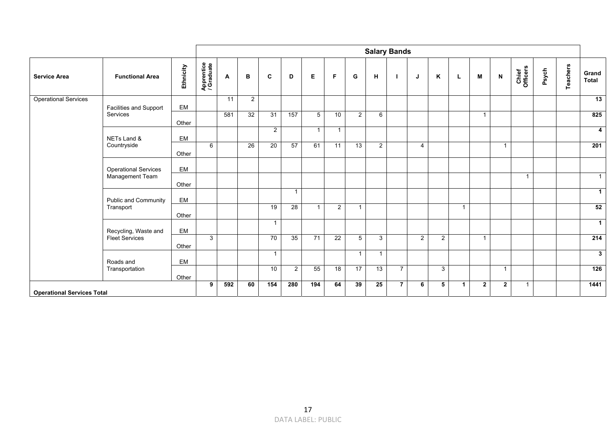|                                   |                                   |           |                          |                 |                |                 |                |                |                |                 |                | <b>Salary Bands</b> |                |              |                      |              |                |                   |       |          |                         |
|-----------------------------------|-----------------------------------|-----------|--------------------------|-----------------|----------------|-----------------|----------------|----------------|----------------|-----------------|----------------|---------------------|----------------|--------------|----------------------|--------------|----------------|-------------------|-------|----------|-------------------------|
| <b>Service Area</b>               | <b>Functional Area</b>            | Ethnicity | Apprentice<br>/ Graduate | A               | в              | C               | D              | Е              | F              | G               | H              |                     | J              | K            | L                    | M            | N              | Chief<br>Officers | Psych | Teachers | Grand<br>Total          |
| <b>Operational Services</b>       | Facilities and Support            | EM        |                          | $\overline{11}$ | $\overline{2}$ |                 |                |                |                |                 |                |                     |                |              |                      |              |                |                   |       |          | 13                      |
|                                   | Services                          | Other     |                          | 581             | 32             | 31              | 157            | 5              | 10             | $\overline{2}$  | 6              |                     |                |              |                      | $\mathbf{1}$ |                |                   |       |          | 825                     |
|                                   | NETs Land &                       | EM        |                          |                 |                | $\overline{2}$  |                | $\mathbf{1}$   | $\mathbf{1}$   |                 |                |                     |                |              |                      |              |                |                   |       |          | $\overline{\mathbf{4}}$ |
|                                   | Countryside                       | Other     | 6                        |                 | 26             | $\overline{20}$ | 57             | 61             | 11             | $\overline{13}$ | $\overline{2}$ |                     | $\overline{4}$ |              |                      |              | $\overline{1}$ |                   |       |          | 201                     |
|                                   | <b>Operational Services</b>       | EM        |                          |                 |                |                 |                |                |                |                 |                |                     |                |              |                      |              |                |                   |       |          |                         |
|                                   | Management Team                   | Other     |                          |                 |                |                 |                |                |                |                 |                |                     |                |              |                      |              |                | $\overline{1}$    |       |          | $\overline{1}$          |
|                                   | EM<br><b>Public and Community</b> |           |                          |                 |                |                 | $\overline{1}$ |                |                |                 |                |                     |                |              |                      |              |                |                   |       |          | $\mathbf 1$             |
|                                   | Transport                         | Other     |                          |                 |                | 19              | 28             | $\overline{1}$ | $\overline{2}$ | 1               |                |                     |                |              | $\overline{1}$       |              |                |                   |       |          | 52                      |
|                                   | Recycling, Waste and              | EM        |                          |                 |                | $\mathbf{1}$    |                |                |                |                 |                |                     |                |              |                      |              |                |                   |       |          | $\overline{1}$          |
|                                   | <b>Fleet Services</b>             | Other     | 3                        |                 |                | 70              | 35             | 71             | 22             | $5\phantom{.0}$ | 3              |                     | $\overline{2}$ | 2            |                      | $\mathbf{1}$ |                |                   |       |          | 214                     |
|                                   | Roads and                         | EM        |                          |                 |                | $\mathbf{1}$    |                |                |                | 1               | $\overline{1}$ |                     |                |              |                      |              |                |                   |       |          | $\mathbf{3}$            |
|                                   | Transportation                    | Other     |                          |                 |                | 10              | 2              | 55             | 18             | 17              | 13             | $\overline{7}$      |                | $\mathbf{3}$ |                      |              | $\overline{1}$ |                   |       |          | 126                     |
| <b>Operational Services Total</b> |                                   |           |                          | 592             | 60             | 154             | 280            | 194            | 64             | 39              | 25             | $\overline{7}$      | 6              | 5            | $\blacktriangleleft$ | $\mathbf{2}$ | $\mathbf{2}$   | $\overline{1}$    |       |          | 1441                    |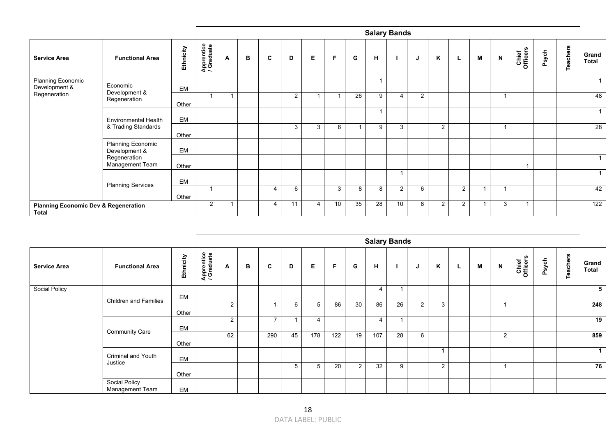|                                                                                                        |                                                                                          |           |                          |                      |   |   |                |   |                 |    | <b>Salary Bands</b> |                |                |   |                |   |   |                   |       |          |                |
|--------------------------------------------------------------------------------------------------------|------------------------------------------------------------------------------------------|-----------|--------------------------|----------------------|---|---|----------------|---|-----------------|----|---------------------|----------------|----------------|---|----------------|---|---|-------------------|-------|----------|----------------|
| <b>Service Area</b>                                                                                    | <b>Functional Area</b>                                                                   | Ethnicity | Apprentice<br>/ Graduate | A                    | в | C | D              | E | F               | G  | H                   |                | J              | K | L.             | M | N | Chief<br>Officers | Psych | Teachers | Grand<br>Total |
| <b>Planning Economic</b><br>Economic<br>Development &<br>Development &<br>Regeneration<br>Regeneration |                                                                                          | EM        |                          |                      |   |   |                |   |                 |    |                     |                |                |   |                |   |   |                   |       |          | 1              |
|                                                                                                        |                                                                                          | Other     | $\overline{1}$           | $\blacktriangleleft$ |   |   | $\overline{2}$ | 1 |                 | 26 | 9                   | 4              | $\overline{2}$ |   |                |   |   |                   |       |          | 48             |
|                                                                                                        | <b>Environmental Health</b><br>& Trading Standards<br>Planning Economic<br>Development & | EM        |                          |                      |   |   |                |   |                 |    |                     |                |                |   |                |   |   |                   |       |          | 1              |
|                                                                                                        |                                                                                          | Other     |                          |                      |   |   | 3              | 3 | 6               |    | 9                   | 3              |                | 2 |                |   |   |                   |       |          | 28             |
|                                                                                                        |                                                                                          | EM        |                          |                      |   |   |                |   |                 |    |                     |                |                |   |                |   |   |                   |       |          |                |
|                                                                                                        | Regeneration<br>Management Team                                                          | Other     |                          |                      |   |   |                |   |                 |    |                     |                |                |   |                |   |   |                   |       |          | 1              |
|                                                                                                        | <b>Planning Services</b>                                                                 | EM        |                          |                      |   |   |                |   |                 |    |                     | $\overline{ }$ |                |   |                |   |   |                   |       |          | 1              |
|                                                                                                        |                                                                                          | Other     | $\overline{\mathbf{A}}$  |                      |   | 4 | 6              |   | 3               | 8  | 8                   | $\overline{2}$ | 6              |   | $\overline{2}$ |   |   |                   |       |          | 42             |
| <b>Planning Economic Dev &amp; Regeneration</b><br><b>Total</b>                                        |                                                                                          |           |                          |                      |   | 4 | 11             | 4 | 10 <sup>°</sup> | 35 | 28                  | 10             | 8              | 2 | $\overline{2}$ | ٠ | 3 |                   |       |          | 122            |

|                      |                                  |           |                          |                |   |     |    |     |     |                |                | <b>Salary Bands</b> |                |                |   |   |                |                   |       |                 |                       |
|----------------------|----------------------------------|-----------|--------------------------|----------------|---|-----|----|-----|-----|----------------|----------------|---------------------|----------------|----------------|---|---|----------------|-------------------|-------|-----------------|-----------------------|
| <b>Service Area</b>  | <b>Functional Area</b>           | Ethnicity | Apprentice<br>/ Graduate | A              | в | C   | D  | Е   | F   | G              | н              |                     | J              | K              | ┺ | M | N              | Chief<br>Officers | Psych | <b>Teachers</b> | Grand<br><b>Total</b> |
| <b>Social Policy</b> |                                  | EM        |                          |                |   |     |    |     |     |                | $\overline{4}$ |                     |                |                |   |   |                |                   |       |                 | $5^{\circ}$           |
|                      | <b>Children and Families</b>     | Other     |                          | $\overline{2}$ |   |     | 6  | 5   | 86  | 30             | 86             | 26                  | $\overline{2}$ | 3              |   |   |                |                   |       |                 | 248                   |
|                      | <b>Community Care</b>            | EM        |                          | 2              |   | -   |    | 4   |     |                | $\overline{4}$ |                     |                |                |   |   |                |                   |       |                 | 19                    |
|                      |                                  | Other     |                          | 62             |   | 290 | 45 | 178 | 122 | 19             | 107            | 28                  | 6              |                |   |   | $\overline{2}$ |                   |       |                 | 859                   |
|                      | Criminal and Youth<br>Justice    | EM        |                          |                |   |     |    |     |     |                |                |                     |                |                |   |   |                |                   |       |                 | $\mathbf{1}$          |
|                      |                                  | Other     |                          |                |   |     | 5  | 5   | 20  | $\overline{2}$ | 32             | 9                   |                | $\overline{2}$ |   |   |                |                   |       |                 | 76                    |
|                      | Social Policy<br>Management Team | EM        |                          |                |   |     |    |     |     |                |                |                     |                |                |   |   |                |                   |       |                 |                       |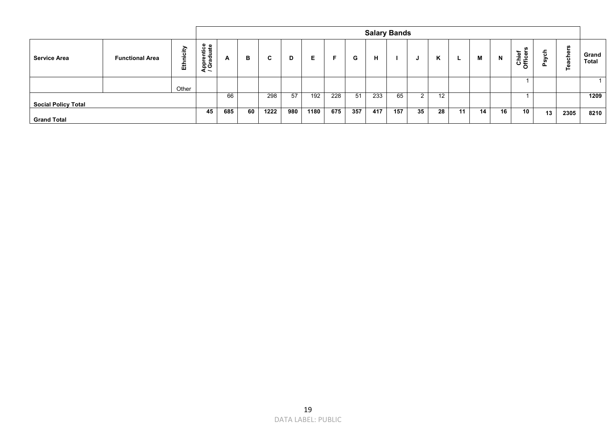|                            |                        |           |                                              |                      |    |      |     |      |     |     |     | <b>Salary Bands</b> |    |    |    |    |    |                               |        |                     |                |
|----------------------------|------------------------|-----------|----------------------------------------------|----------------------|----|------|-----|------|-----|-----|-----|---------------------|----|----|----|----|----|-------------------------------|--------|---------------------|----------------|
| <b>Service Area</b>        | <b>Functional Area</b> | Ethnicity | ntice<br>luate<br>릉<br>ω<br>ട ര<br>api<br>Ko | $\ddot{\phantom{1}}$ | в  | C.   | D   | Е.   | Е   | G   | н   |                     | J  | K  |    | М  | N  | <b>S</b><br>Chief<br>Officers | 듕<br>∽ | S<br>►<br>Ф<br>each | Grand<br>Total |
|                            |                        |           |                                              |                      |    |      |     |      |     |     |     |                     |    |    |    |    |    |                               |        |                     |                |
|                            |                        | Other     |                                              |                      |    |      |     |      |     |     |     |                     |    |    |    |    |    |                               |        |                     |                |
|                            |                        |           |                                              | 66                   |    | 298  | 57  | 192  | 228 | 51  | 233 | 65                  | ົ  | 12 |    |    |    |                               |        |                     | 1209           |
| <b>Social Policy Total</b> |                        |           |                                              |                      |    |      |     |      |     |     |     |                     |    |    |    |    |    |                               |        |                     |                |
|                            |                        |           | 45                                           | 685                  | 60 | 1222 | 980 | 1180 | 675 | 357 | 417 | 157                 | 35 | 28 | 11 | 14 | 16 | 10                            | 13     | 2305                | 8210           |
| <b>Grand Total</b>         |                        |           |                                              |                      |    |      |     |      |     |     |     |                     |    |    |    |    |    |                               |        |                     |                |